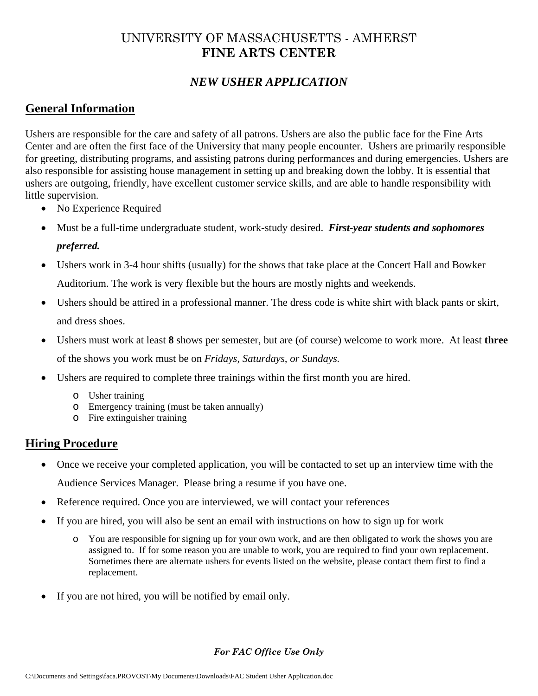# UNIVERSITY OF MASSACHUSETTS - AMHERST **FINE ARTS CENTER**

## *NEW USHER APPLICATION*

### **General Information**

Ushers are responsible for the care and safety of all patrons. Ushers are also the public face for the Fine Arts Center and are often the first face of the University that many people encounter. Ushers are primarily responsible for greeting, distributing programs, and assisting patrons during performances and during emergencies. Ushers are also responsible for assisting house management in setting up and breaking down the lobby. It is essential that ushers are outgoing, friendly, have excellent customer service skills, and are able to handle responsibility with little supervision.

- No Experience Required
- Must be a full-time undergraduate student, work-study desired. *First-year students and sophomores*

#### *preferred.*

- Ushers work in 3-4 hour shifts (usually) for the shows that take place at the Concert Hall and Bowker Auditorium. The work is very flexible but the hours are mostly nights and weekends.
- Ushers should be attired in a professional manner. The dress code is white shirt with black pants or skirt, and dress shoes.
- Ushers must work at least **8** shows per semester, but are (of course) welcome to work more. At least **three** of the shows you work must be on *Fridays, Saturdays, or Sundays.*
- Ushers are required to complete three trainings within the first month you are hired.
	- o Usher training
	- o Emergency training (must be taken annually)
	- o Fire extinguisher training

### **Hiring Procedure**

- Once we receive your completed application, you will be contacted to set up an interview time with the Audience Services Manager. Please bring a resume if you have one.
- Reference required. Once you are interviewed, we will contact your references
- If you are hired, you will also be sent an email with instructions on how to sign up for work
	- o You are responsible for signing up for your own work, and are then obligated to work the shows you are assigned to. If for some reason you are unable to work, you are required to find your own replacement. Sometimes there are alternate ushers for events listed on the website, please contact them first to find a replacement.
- If you are not hired, you will be notified by email only.

#### *For FAC Office Use Only*